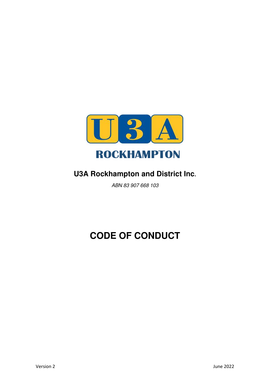

## **U3A Rockhampton and District Inc.**

ABN 83 907 668 103

## **CODE OF CONDUCT**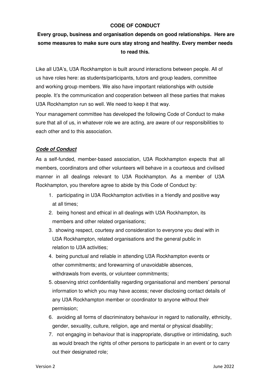## **CODE OF CONDUCT**

 **Every group, business and organisation depends on good relationships. Here are some measures to make sure ours stay strong and healthy. Every member needs to read this.** 

Like all U3A's, U3A Rockhampton is built around interactions between people. All of us have roles here: as students/participants, tutors and group leaders, committee and working group members. We also have important relationships with outside people. It's the communication and cooperation between all these parties that makes U3A Rockhampton run so well. We need to keep it that way.

Your management committee has developed the following Code of Conduct to make sure that all of us, in whatever role we are acting, are aware of our responsibilities to each other and to this association.

## **Code of Conduct**

As a self-funded, member-based association, U3A Rockhampton expects that all members, coordinators and other volunteers will behave in a courteous and civilised manner in all dealings relevant to U3A Rockhampton. As a member of U3A Rockhampton, you therefore agree to abide by this Code of Conduct by:

- 1. participating in U3A Rockhampton activities in a friendly and positive way at all times;
- 2. being honest and ethical in all dealings with U3A Rockhampton, its members and other related organisations:
- 3. showing respect, courtesy and consideration to everyone you deal with in U3A Rockhampton, related organisations and the general public in relation to U3A activities;
- 4. being punctual and reliable in attending U3A Rockhampton events or other commitments; and forewarning of unavoidable absences, withdrawals from events, or volunteer commitments;
- 5. observing strict confidentiality regarding organisational and members' personal information to which you may have access; never disclosing contact details of any U3A Rockhampton member or coordinator to anyone without their permission;
- 6. avoiding all forms of discriminatory behaviour in regard to nationality, ethnicity, gender, sexuality, culture, religion, age and mental or physical disability;
- 7. not engaging in behaviour that is inappropriate, disruptive or intimidating, such as would breach the rights of other persons to participate in an event or to carry out their designated role;